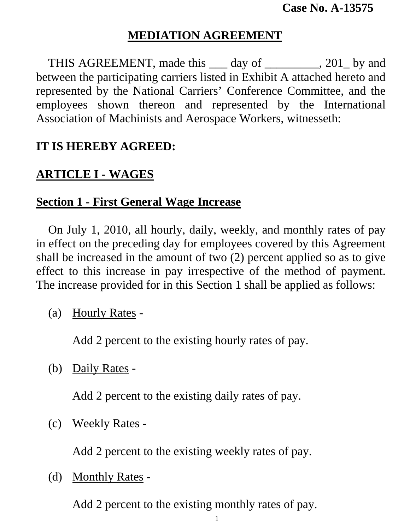## **MEDIATION AGREEMENT**

THIS AGREEMENT, made this <u>quarely</u> day of <u>quality</u> 201 by and between the participating carriers listed in Exhibit A attached hereto and represented by the National Carriers' Conference Committee, and the employees shown thereon and represented by the International Association of Machinists and Aerospace Workers, witnesseth:

#### **IT IS HEREBY AGREED:**

### **ARTICLE I - WAGES**

### **Section 1 - First General Wage Increase**

 On July 1, 2010, all hourly, daily, weekly, and monthly rates of pay in effect on the preceding day for employees covered by this Agreement shall be increased in the amount of two (2) percent applied so as to give effect to this increase in pay irrespective of the method of payment. The increase provided for in this Section 1 shall be applied as follows:

(a) Hourly Rates -

Add 2 percent to the existing hourly rates of pay.

(b) Daily Rates -

Add 2 percent to the existing daily rates of pay.

(c) Weekly Rates -

Add 2 percent to the existing weekly rates of pay.

(d) Monthly Rates -

Add 2 percent to the existing monthly rates of pay.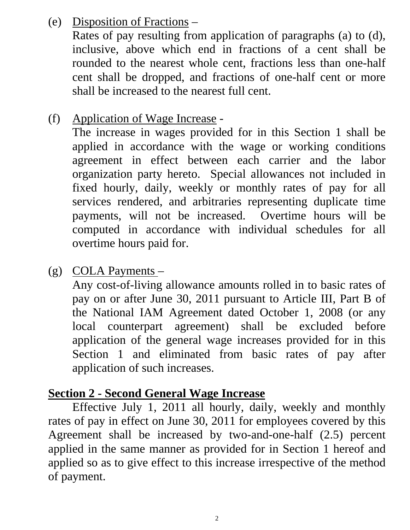(e) Disposition of Fractions –

 Rates of pay resulting from application of paragraphs (a) to (d), inclusive, above which end in fractions of a cent shall be rounded to the nearest whole cent, fractions less than one-half cent shall be dropped, and fractions of one-half cent or more shall be increased to the nearest full cent.

(f) Application of Wage Increase -

The increase in wages provided for in this Section 1 shall be applied in accordance with the wage or working conditions agreement in effect between each carrier and the labor organization party hereto. Special allowances not included in fixed hourly, daily, weekly or monthly rates of pay for all services rendered, and arbitraries representing duplicate time payments, will not be increased. Overtime hours will be computed in accordance with individual schedules for all overtime hours paid for.

(g) COLA Payments –

Any cost-of-living allowance amounts rolled in to basic rates of pay on or after June 30, 2011 pursuant to Article III, Part B of the National IAM Agreement dated October 1, 2008 (or any local counterpart agreement) shall be excluded before application of the general wage increases provided for in this Section 1 and eliminated from basic rates of pay after application of such increases.

#### **Section 2 - Second General Wage Increase**

 Effective July 1, 2011 all hourly, daily, weekly and monthly rates of pay in effect on June 30, 2011 for employees covered by this Agreement shall be increased by two-and-one-half (2.5) percent applied in the same manner as provided for in Section 1 hereof and applied so as to give effect to this increase irrespective of the method of payment.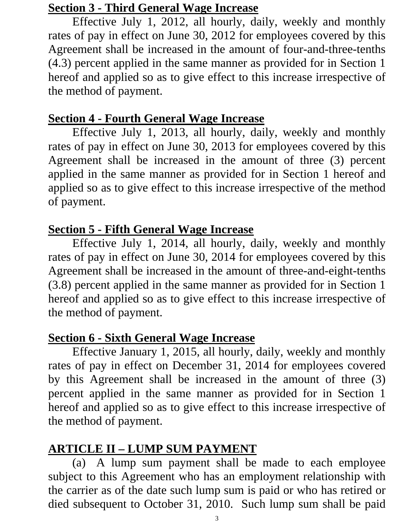### **Section 3 - Third General Wage Increase**

 Effective July 1, 2012, all hourly, daily, weekly and monthly rates of pay in effect on June 30, 2012 for employees covered by this Agreement shall be increased in the amount of four-and-three-tenths (4.3) percent applied in the same manner as provided for in Section 1 hereof and applied so as to give effect to this increase irrespective of the method of payment.

## **Section 4 - Fourth General Wage Increase**

 Effective July 1, 2013, all hourly, daily, weekly and monthly rates of pay in effect on June 30, 2013 for employees covered by this Agreement shall be increased in the amount of three (3) percent applied in the same manner as provided for in Section 1 hereof and applied so as to give effect to this increase irrespective of the method of payment.

# **Section 5 - Fifth General Wage Increase**

 Effective July 1, 2014, all hourly, daily, weekly and monthly rates of pay in effect on June 30, 2014 for employees covered by this Agreement shall be increased in the amount of three-and-eight-tenths (3.8) percent applied in the same manner as provided for in Section 1 hereof and applied so as to give effect to this increase irrespective of the method of payment.

# **Section 6 - Sixth General Wage Increase**

 Effective January 1, 2015, all hourly, daily, weekly and monthly rates of pay in effect on December 31, 2014 for employees covered by this Agreement shall be increased in the amount of three (3) percent applied in the same manner as provided for in Section 1 hereof and applied so as to give effect to this increase irrespective of the method of payment.

# **ARTICLE II – LUMP SUM PAYMENT**

 (a) A lump sum payment shall be made to each employee subject to this Agreement who has an employment relationship with the carrier as of the date such lump sum is paid or who has retired or died subsequent to October 31, 2010. Such lump sum shall be paid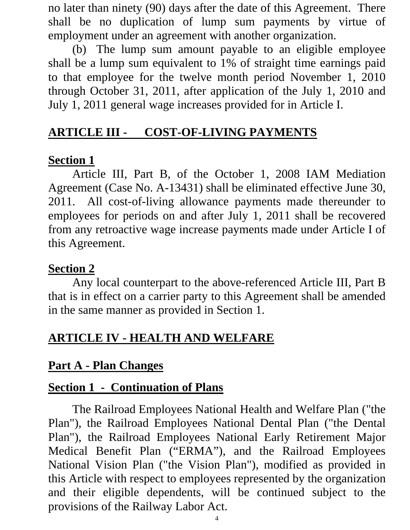no later than ninety (90) days after the date of this Agreement. There shall be no duplication of lump sum payments by virtue of employment under an agreement with another organization.

 (b) The lump sum amount payable to an eligible employee shall be a lump sum equivalent to 1% of straight time earnings paid to that employee for the twelve month period November 1, 2010 through October 31, 2011, after application of the July 1, 2010 and July 1, 2011 general wage increases provided for in Article I.

## **ARTICLE III - COST-OF-LIVING PAYMENTS**

### **Section 1**

Article III, Part B, of the October 1, 2008 IAM Mediation Agreement (Case No. A-13431) shall be eliminated effective June 30, 2011. All cost-of-living allowance payments made thereunder to employees for periods on and after July 1, 2011 shall be recovered from any retroactive wage increase payments made under Article I of this Agreement.

#### **Section 2**

 Any local counterpart to the above-referenced Article III, Part B that is in effect on a carrier party to this Agreement shall be amended in the same manner as provided in Section 1.

## **ARTICLE IV - HEALTH AND WELFARE**

### **Part A - Plan Changes**

### **Section 1 - Continuation of Plans**

The Railroad Employees National Health and Welfare Plan ("the Plan"), the Railroad Employees National Dental Plan ("the Dental Plan"), the Railroad Employees National Early Retirement Major Medical Benefit Plan ("ERMA"), and the Railroad Employees National Vision Plan ("the Vision Plan"), modified as provided in this Article with respect to employees represented by the organization and their eligible dependents, will be continued subject to the provisions of the Railway Labor Act.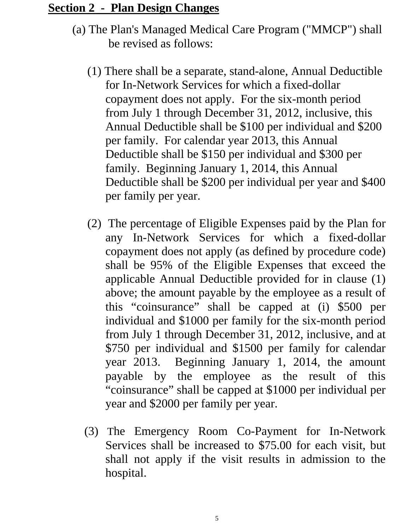#### **Section 2 - Plan Design Changes**

- (a) The Plan's Managed Medical Care Program ("MMCP") shall be revised as follows:
	- (1) There shall be a separate, stand-alone, Annual Deductible for In-Network Services for which a fixed-dollar copayment does not apply. For the six-month period from July 1 through December 31, 2012, inclusive, this Annual Deductible shall be \$100 per individual and \$200 per family. For calendar year 2013, this Annual Deductible shall be \$150 per individual and \$300 per family. Beginning January 1, 2014, this Annual Deductible shall be \$200 per individual per year and \$400 per family per year.
	- (2) The percentage of Eligible Expenses paid by the Plan for any In-Network Services for which a fixed-dollar copayment does not apply (as defined by procedure code) shall be 95% of the Eligible Expenses that exceed the applicable Annual Deductible provided for in clause (1) above; the amount payable by the employee as a result of this "coinsurance" shall be capped at (i) \$500 per individual and \$1000 per family for the six-month period from July 1 through December 31, 2012, inclusive, and at \$750 per individual and \$1500 per family for calendar year 2013. Beginning January 1, 2014, the amount payable by the employee as the result of this "coinsurance" shall be capped at \$1000 per individual per year and \$2000 per family per year.
	- (3) The Emergency Room Co-Payment for In-Network Services shall be increased to \$75.00 for each visit, but shall not apply if the visit results in admission to the hospital.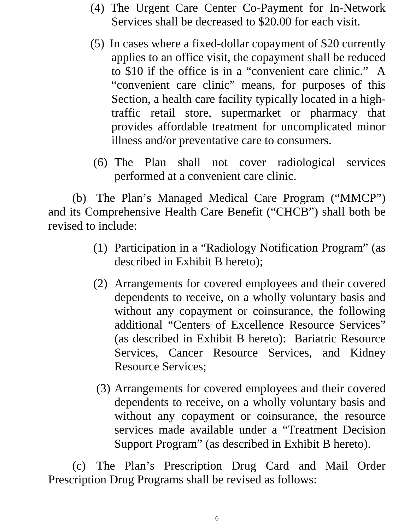- (4) The Urgent Care Center Co-Payment for In-Network Services shall be decreased to \$20.00 for each visit.
- (5) In cases where a fixed-dollar copayment of \$20 currently applies to an office visit, the copayment shall be reduced to \$10 if the office is in a "convenient care clinic." A "convenient care clinic" means, for purposes of this Section, a health care facility typically located in a hightraffic retail store, supermarket or pharmacy that provides affordable treatment for uncomplicated minor illness and/or preventative care to consumers.
- (6) The Plan shall not cover radiological services performed at a convenient care clinic.

(b) The Plan's Managed Medical Care Program ("MMCP") and its Comprehensive Health Care Benefit ("CHCB") shall both be revised to include:

- (1) Participation in a "Radiology Notification Program" (as described in Exhibit B hereto);
- (2) Arrangements for covered employees and their covered dependents to receive, on a wholly voluntary basis and without any copayment or coinsurance, the following additional "Centers of Excellence Resource Services" (as described in Exhibit B hereto): Bariatric Resource Services, Cancer Resource Services, and Kidney Resource Services;
- (3) Arrangements for covered employees and their covered dependents to receive, on a wholly voluntary basis and without any copayment or coinsurance, the resource services made available under a "Treatment Decision Support Program" (as described in Exhibit B hereto).

(c) The Plan's Prescription Drug Card and Mail Order Prescription Drug Programs shall be revised as follows: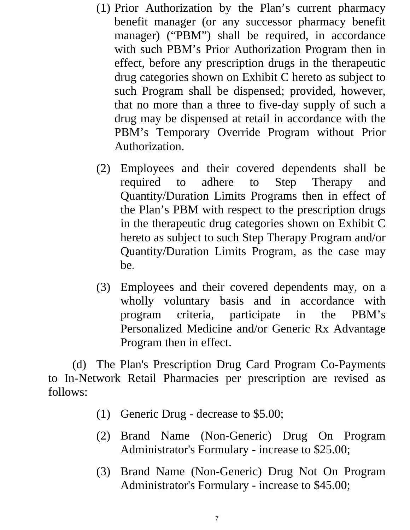- (1) Prior Authorization by the Plan's current pharmacy benefit manager (or any successor pharmacy benefit manager) ("PBM") shall be required, in accordance with such PBM's Prior Authorization Program then in effect, before any prescription drugs in the therapeutic drug categories shown on Exhibit C hereto as subject to such Program shall be dispensed; provided, however, that no more than a three to five-day supply of such a drug may be dispensed at retail in accordance with the PBM's Temporary Override Program without Prior Authorization.
- (2) Employees and their covered dependents shall be required to adhere to Step Therapy and Quantity/Duration Limits Programs then in effect of the Plan's PBM with respect to the prescription drugs in the therapeutic drug categories shown on Exhibit C hereto as subject to such Step Therapy Program and/or Quantity/Duration Limits Program, as the case may be.
- (3) Employees and their covered dependents may, on a wholly voluntary basis and in accordance with program criteria, participate in the PBM's Personalized Medicine and/or Generic Rx Advantage Program then in effect.

(d) The Plan's Prescription Drug Card Program Co-Payments to In-Network Retail Pharmacies per prescription are revised as follows:

- (1) Generic Drug decrease to \$5.00;
- (2) Brand Name (Non-Generic) Drug On Program Administrator's Formulary - increase to \$25.00;
- (3) Brand Name (Non-Generic) Drug Not On Program Administrator's Formulary - increase to \$45.00;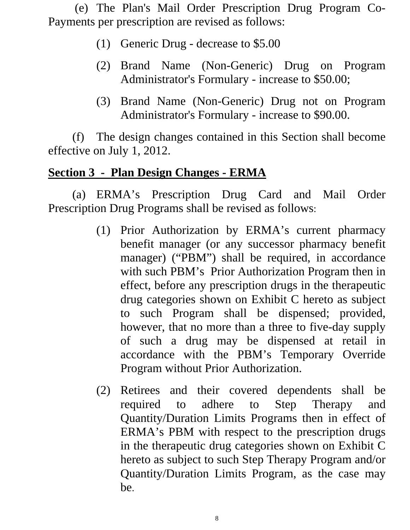(e) The Plan's Mail Order Prescription Drug Program Co-Payments per prescription are revised as follows:

- (1) Generic Drug decrease to \$5.00
- (2) Brand Name (Non-Generic) Drug on Program Administrator's Formulary - increase to \$50.00;
- (3) Brand Name (Non-Generic) Drug not on Program Administrator's Formulary - increase to \$90.00.

(f) The design changes contained in this Section shall become effective on July 1, 2012.

### **Section 3 - Plan Design Changes - ERMA**

(a) ERMA's Prescription Drug Card and Mail Order Prescription Drug Programs shall be revised as follows:

- (1) Prior Authorization by ERMA's current pharmacy benefit manager (or any successor pharmacy benefit manager) ("PBM") shall be required, in accordance with such PBM's Prior Authorization Program then in effect, before any prescription drugs in the therapeutic drug categories shown on Exhibit C hereto as subject to such Program shall be dispensed; provided, however, that no more than a three to five-day supply of such a drug may be dispensed at retail in accordance with the PBM's Temporary Override Program without Prior Authorization.
- (2) Retirees and their covered dependents shall be required to adhere to Step Therapy and Quantity/Duration Limits Programs then in effect of ERMA's PBM with respect to the prescription drugs in the therapeutic drug categories shown on Exhibit C hereto as subject to such Step Therapy Program and/or Quantity/Duration Limits Program, as the case may be.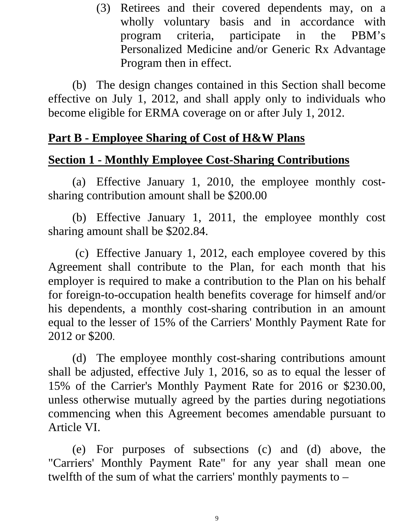(3) Retirees and their covered dependents may, on a wholly voluntary basis and in accordance with program criteria, participate in the PBM's Personalized Medicine and/or Generic Rx Advantage Program then in effect.

(b) The design changes contained in this Section shall become effective on July 1, 2012, and shall apply only to individuals who become eligible for ERMA coverage on or after July 1, 2012.

### **Part B - Employee Sharing of Cost of H&W Plans**

### **Section 1 - Monthly Employee Cost-Sharing Contributions**

(a) Effective January 1, 2010, the employee monthly costsharing contribution amount shall be \$200.00

 (b) Effective January 1, 2011, the employee monthly cost sharing amount shall be \$202.84.

 (c) Effective January 1, 2012, each employee covered by this Agreement shall contribute to the Plan, for each month that his employer is required to make a contribution to the Plan on his behalf for foreign-to-occupation health benefits coverage for himself and/or his dependents, a monthly cost-sharing contribution in an amount equal to the lesser of 15% of the Carriers' Monthly Payment Rate for 2012 or \$200.

(d) The employee monthly cost-sharing contributions amount shall be adjusted, effective July 1, 2016, so as to equal the lesser of 15% of the Carrier's Monthly Payment Rate for 2016 or \$230.00, unless otherwise mutually agreed by the parties during negotiations commencing when this Agreement becomes amendable pursuant to Article VI.

(e) For purposes of subsections (c) and (d) above, the "Carriers' Monthly Payment Rate" for any year shall mean one twelfth of the sum of what the carriers' monthly payments to –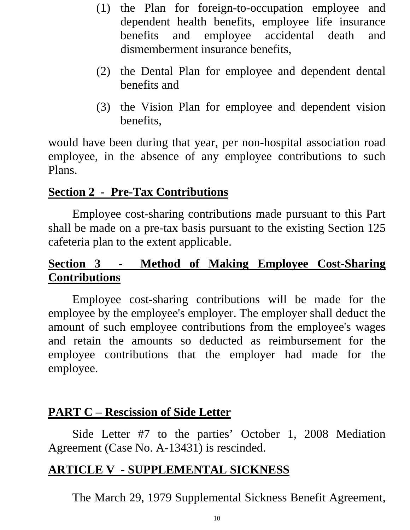- (1) the Plan for foreign-to-occupation employee and dependent health benefits, employee life insurance benefits and employee accidental death and dismemberment insurance benefits,
- (2) the Dental Plan for employee and dependent dental benefits and
- (3) the Vision Plan for employee and dependent vision benefits,

would have been during that year, per non-hospital association road employee, in the absence of any employee contributions to such Plans.

### **Section 2 - Pre-Tax Contributions**

Employee cost-sharing contributions made pursuant to this Part shall be made on a pre-tax basis pursuant to the existing Section 125 cafeteria plan to the extent applicable.

# **Section 3 - Method of Making Employee Cost-Sharing Contributions**

Employee cost-sharing contributions will be made for the employee by the employee's employer. The employer shall deduct the amount of such employee contributions from the employee's wages and retain the amounts so deducted as reimbursement for the employee contributions that the employer had made for the employee.

## **PART C – Rescission of Side Letter**

Side Letter #7 to the parties' October 1, 2008 Mediation Agreement (Case No. A-13431) is rescinded.

## **ARTICLE V - SUPPLEMENTAL SICKNESS**

The March 29, 1979 Supplemental Sickness Benefit Agreement,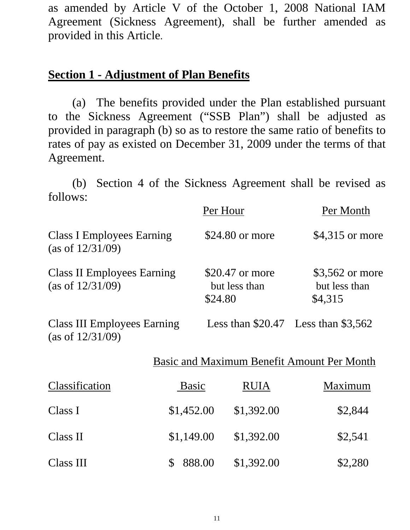as amended by Article V of the October 1, 2008 National IAM Agreement (Sickness Agreement), shall be further amended as provided in this Article.

#### **Section 1 - Adjustment of Plan Benefits**

 (a) The benefits provided under the Plan established pursuant to the Sickness Agreement ("SSB Plan") shall be adjusted as provided in paragraph (b) so as to restore the same ratio of benefits to rates of pay as existed on December 31, 2009 under the terms of that Agreement.

(b) Section 4 of the Sickness Agreement shall be revised as follows:

|                                                           |              | Per Hour                                    |             |                                            | Per Month                        |
|-----------------------------------------------------------|--------------|---------------------------------------------|-------------|--------------------------------------------|----------------------------------|
| <b>Class I Employees Earning</b><br>(as of $12/31/09$ )   |              | \$24.80 or more                             |             |                                            | \$4,315 or more                  |
| <b>Class II Employees Earning</b><br>(as of $12/31/09$ )  |              | \$20.47 or more<br>but less than<br>\$24.80 |             | \$4,315                                    | \$3,562 or more<br>but less than |
| <b>Class III Employees Earning</b><br>(as of $12/31/09$ ) |              |                                             |             | Less than $$20.47$ Less than $$3,562$      |                                  |
|                                                           |              |                                             |             | Basic and Maximum Benefit Amount Per Month |                                  |
| Classification                                            | <b>Basic</b> |                                             | <b>RUIA</b> |                                            | Maximum                          |
| Class I                                                   | \$1,452.00   |                                             | \$1,392.00  |                                            | \$2,844                          |
| Class II                                                  | \$1,149.00   |                                             | \$1,392.00  |                                            | \$2,541                          |
| Class III                                                 | \$<br>888.00 |                                             | \$1,392.00  |                                            | \$2,280                          |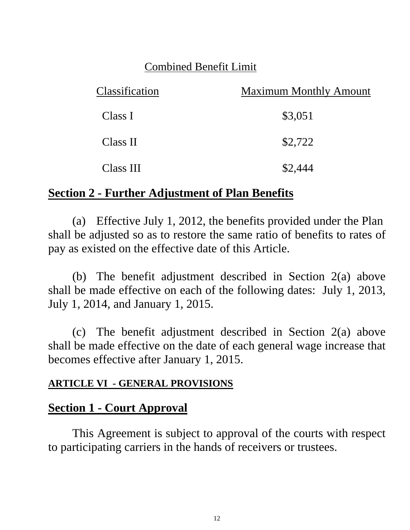### Combined Benefit Limit

| Classification | <b>Maximum Monthly Amount</b> |
|----------------|-------------------------------|
| Class I        | \$3,051                       |
| Class II       | \$2,722                       |
| Class III      | \$2,444                       |

### **Section 2 - Further Adjustment of Plan Benefits**

 (a) Effective July 1, 2012, the benefits provided under the Plan shall be adjusted so as to restore the same ratio of benefits to rates of pay as existed on the effective date of this Article.

 (b) The benefit adjustment described in Section 2(a) above shall be made effective on each of the following dates: July 1, 2013, July 1, 2014, and January 1, 2015.

 (c) The benefit adjustment described in Section 2(a) above shall be made effective on the date of each general wage increase that becomes effective after January 1, 2015.

#### **ARTICLE VI - GENERAL PROVISIONS**

## **Section 1 - Court Approval**

This Agreement is subject to approval of the courts with respect to participating carriers in the hands of receivers or trustees.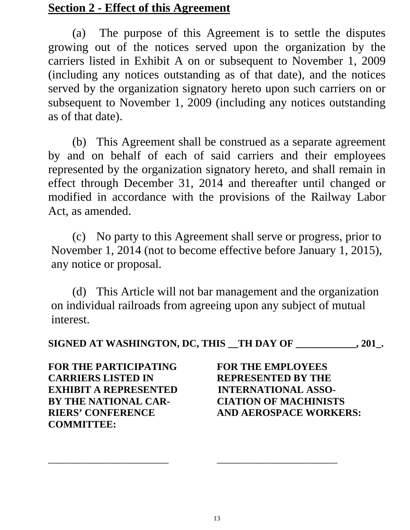#### **Section 2 - Effect of this Agreement**

(a) The purpose of this Agreement is to settle the disputes growing out of the notices served upon the organization by the carriers listed in Exhibit A on or subsequent to November 1, 2009 (including any notices outstanding as of that date), and the notices served by the organization signatory hereto upon such carriers on or subsequent to November 1, 2009 (including any notices outstanding as of that date).

(b) This Agreement shall be construed as a separate agreement by and on behalf of each of said carriers and their employees represented by the organization signatory hereto, and shall remain in effect through December 31, 2014 and thereafter until changed or modified in accordance with the provisions of the Railway Labor Act, as amended.

(c) No party to this Agreement shall serve or progress, prior to November 1, 2014 (not to become effective before January 1, 2015), any notice or proposal.

 (d) This Article will not bar management and the organization on individual railroads from agreeing upon any subject of mutual interest.

**SIGNED AT WASHINGTON, DC, THIS \_\_TH DAY OF \_\_\_\_\_\_\_\_\_\_\_\_, 201\_.** 

**FOR THE PARTICIPATING FOR THE EMPLOYEES CARRIERS LISTED IN REPRESENTED BY THE EXHIBIT A REPRESENTED INTERNATIONAL ASSO-BY THE NATIONAL CAR- CIATION OF MACHINISTS COMMITTEE:** 

**RIERS' CONFERENCE AND AEROSPACE WORKERS:**

\_\_\_\_\_\_\_\_\_\_\_\_\_\_\_\_\_\_\_\_\_\_\_\_ \_\_\_\_\_\_\_\_\_\_\_\_\_\_\_\_\_\_\_\_\_\_\_\_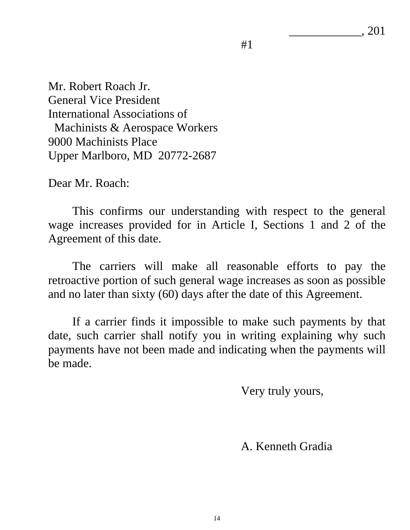\_\_\_\_\_\_\_\_\_\_\_\_, 201

 $#1$ 

Mr. Robert Roach Jr. General Vice President International Associations of Machinists & Aerospace Workers 9000 Machinists Place Upper Marlboro, MD 20772-2687

Dear Mr. Roach:

 This confirms our understanding with respect to the general wage increases provided for in Article I, Sections 1 and 2 of the Agreement of this date.

 The carriers will make all reasonable efforts to pay the retroactive portion of such general wage increases as soon as possible and no later than sixty (60) days after the date of this Agreement.

 If a carrier finds it impossible to make such payments by that date, such carrier shall notify you in writing explaining why such payments have not been made and indicating when the payments will be made.

Very truly yours,

A. Kenneth Gradia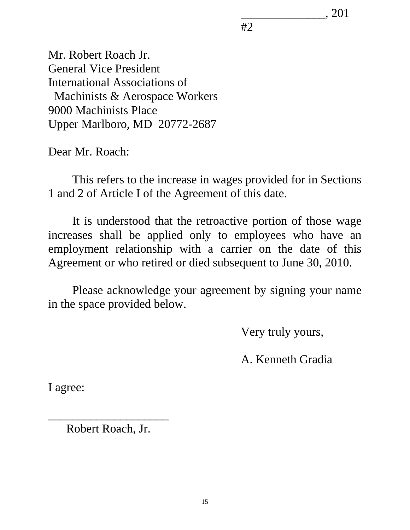\_\_\_\_\_\_\_\_\_\_\_\_\_\_, 201

 $#2$ 

Mr. Robert Roach Jr. General Vice President International Associations of Machinists & Aerospace Workers 9000 Machinists Place Upper Marlboro, MD 20772-2687

Dear Mr. Roach:

 This refers to the increase in wages provided for in Sections 1 and 2 of Article I of the Agreement of this date.

 It is understood that the retroactive portion of those wage increases shall be applied only to employees who have an employment relationship with a carrier on the date of this Agreement or who retired or died subsequent to June 30, 2010.

 Please acknowledge your agreement by signing your name in the space provided below.

Very truly yours,

A. Kenneth Gradia

I agree:

\_\_\_\_\_\_\_\_\_\_\_\_\_\_\_\_\_\_\_\_ Robert Roach, Jr.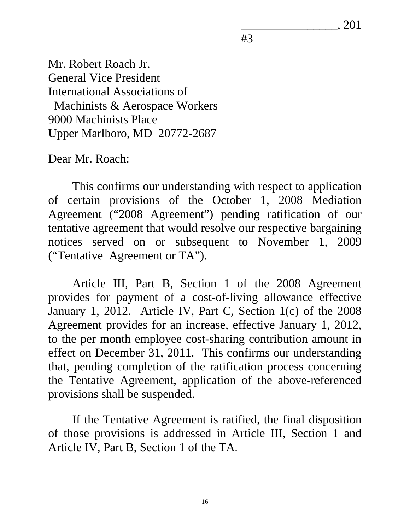\_\_\_\_\_\_\_\_\_\_\_\_\_\_\_\_, 201

#3

Mr. Robert Roach Jr. General Vice President International Associations of Machinists & Aerospace Workers 9000 Machinists Place Upper Marlboro, MD 20772-2687

Dear Mr. Roach:

This confirms our understanding with respect to application of certain provisions of the October 1, 2008 Mediation Agreement ("2008 Agreement") pending ratification of our tentative agreement that would resolve our respective bargaining notices served on or subsequent to November 1, 2009 ("Tentative Agreement or TA").

Article III, Part B, Section 1 of the 2008 Agreement provides for payment of a cost-of-living allowance effective January 1, 2012. Article IV, Part C, Section 1(c) of the 2008 Agreement provides for an increase, effective January 1, 2012, to the per month employee cost-sharing contribution amount in effect on December 31, 2011. This confirms our understanding that, pending completion of the ratification process concerning the Tentative Agreement, application of the above-referenced provisions shall be suspended.

If the Tentative Agreement is ratified, the final disposition of those provisions is addressed in Article III, Section 1 and Article IV, Part B, Section 1 of the TA.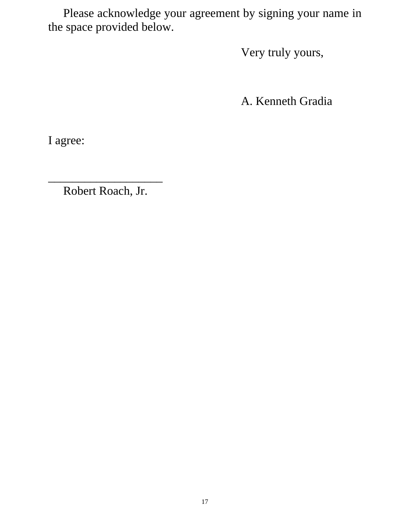Please acknowledge your agreement by signing your name in the space provided below.

Very truly yours,

A. Kenneth Gradia

I agree:

\_\_\_\_\_\_\_\_\_\_\_\_\_\_\_\_\_\_\_ Robert Roach, Jr.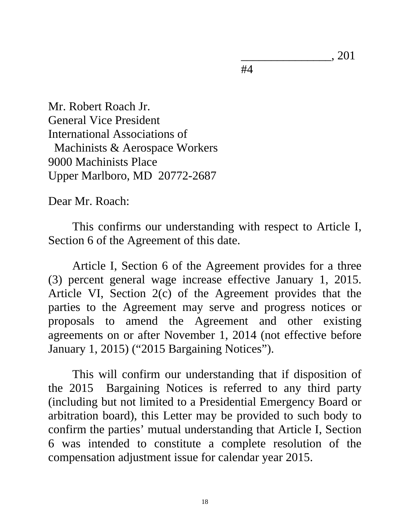\_\_\_\_\_\_\_\_\_\_\_\_\_\_\_, 201

#4

Mr. Robert Roach Jr. General Vice President International Associations of Machinists & Aerospace Workers 9000 Machinists Place Upper Marlboro, MD 20772-2687

Dear Mr. Roach:

This confirms our understanding with respect to Article I, Section 6 of the Agreement of this date.

Article I, Section 6 of the Agreement provides for a three (3) percent general wage increase effective January 1, 2015. Article VI, Section 2(c) of the Agreement provides that the parties to the Agreement may serve and progress notices or proposals to amend the Agreement and other existing agreements on or after November 1, 2014 (not effective before January 1, 2015) ("2015 Bargaining Notices").

This will confirm our understanding that if disposition of the 2015 Bargaining Notices is referred to any third party (including but not limited to a Presidential Emergency Board or arbitration board), this Letter may be provided to such body to confirm the parties' mutual understanding that Article I, Section 6 was intended to constitute a complete resolution of the compensation adjustment issue for calendar year 2015.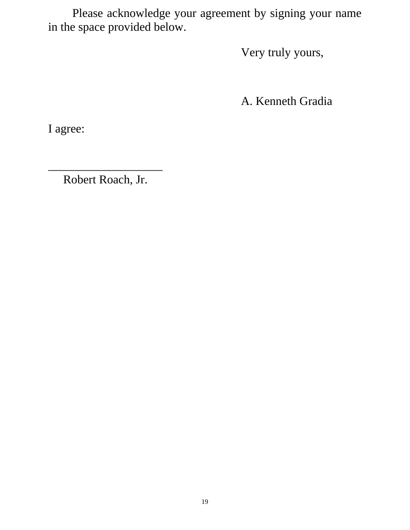Please acknowledge your agreement by signing your name in the space provided below.

Very truly yours,

A. Kenneth Gradia

I agree:

Robert Roach, Jr.

\_\_\_\_\_\_\_\_\_\_\_\_\_\_\_\_\_\_\_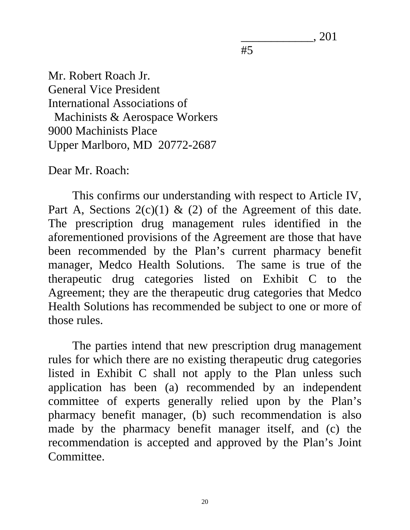\_\_\_\_\_\_\_\_\_\_\_\_, 201

#5

Mr. Robert Roach Jr. General Vice President International Associations of Machinists & Aerospace Workers 9000 Machinists Place Upper Marlboro, MD 20772-2687

Dear Mr. Roach:

This confirms our understanding with respect to Article IV, Part A, Sections  $2(c)(1)$  & (2) of the Agreement of this date. The prescription drug management rules identified in the aforementioned provisions of the Agreement are those that have been recommended by the Plan's current pharmacy benefit manager, Medco Health Solutions. The same is true of the therapeutic drug categories listed on Exhibit C to the Agreement; they are the therapeutic drug categories that Medco Health Solutions has recommended be subject to one or more of those rules.

The parties intend that new prescription drug management rules for which there are no existing therapeutic drug categories listed in Exhibit C shall not apply to the Plan unless such application has been (a) recommended by an independent committee of experts generally relied upon by the Plan's pharmacy benefit manager, (b) such recommendation is also made by the pharmacy benefit manager itself, and (c) the recommendation is accepted and approved by the Plan's Joint Committee.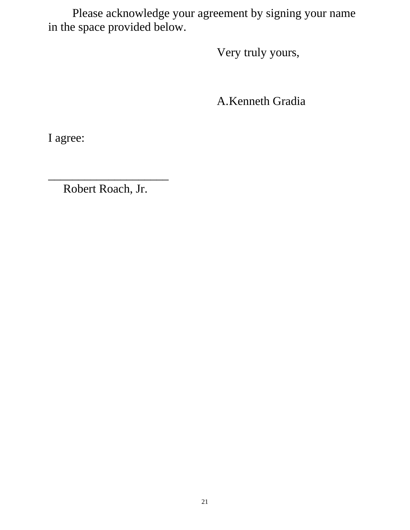Please acknowledge your agreement by signing your name in the space provided below.

Very truly yours,

A.Kenneth Gradia

I agree:

Robert Roach, Jr.

\_\_\_\_\_\_\_\_\_\_\_\_\_\_\_\_\_\_\_\_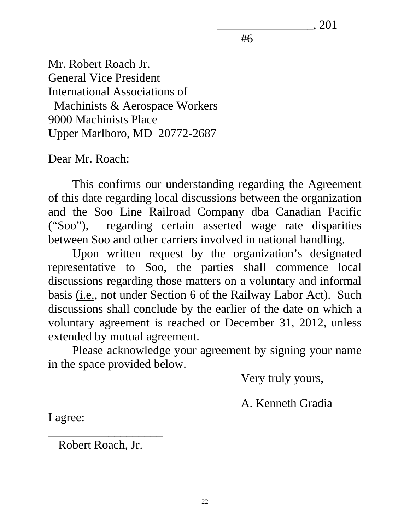\_\_\_\_\_\_\_\_\_\_\_\_\_\_\_\_, 201

#6

Mr. Robert Roach Jr. General Vice President International Associations of Machinists & Aerospace Workers 9000 Machinists Place Upper Marlboro, MD 20772-2687

Dear Mr. Roach:

This confirms our understanding regarding the Agreement of this date regarding local discussions between the organization and the Soo Line Railroad Company dba Canadian Pacific ("Soo"), regarding certain asserted wage rate disparities between Soo and other carriers involved in national handling.

Upon written request by the organization's designated representative to Soo, the parties shall commence local discussions regarding those matters on a voluntary and informal basis (i.e., not under Section 6 of the Railway Labor Act). Such discussions shall conclude by the earlier of the date on which a voluntary agreement is reached or December 31, 2012, unless extended by mutual agreement.

Please acknowledge your agreement by signing your name in the space provided below.

Very truly yours,

A. Kenneth Gradia

I agree:

Robert Roach, Jr.

\_\_\_\_\_\_\_\_\_\_\_\_\_\_\_\_\_\_\_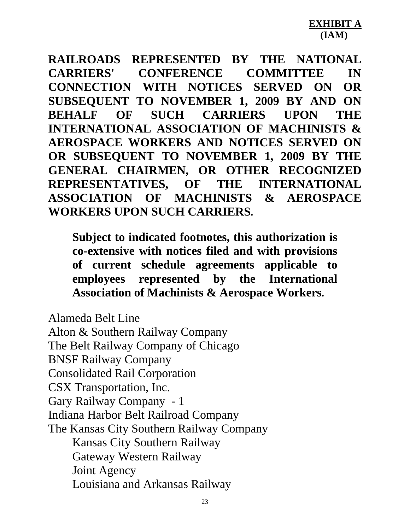**RAILROADS REPRESENTED BY THE NATIONAL CARRIERS' CONFERENCE COMMITTEE IN CONNECTION WITH NOTICES SERVED ON OR SUBSEQUENT TO NOVEMBER 1, 2009 BY AND ON BEHALF OF SUCH CARRIERS UPON THE INTERNATIONAL ASSOCIATION OF MACHINISTS & AEROSPACE WORKERS AND NOTICES SERVED ON OR SUBSEQUENT TO NOVEMBER 1, 2009 BY THE GENERAL CHAIRMEN, OR OTHER RECOGNIZED REPRESENTATIVES, OF THE INTERNATIONAL ASSOCIATION OF MACHINISTS & AEROSPACE WORKERS UPON SUCH CARRIERS.** 

**Subject to indicated footnotes, this authorization is co-extensive with notices filed and with provisions of current schedule agreements applicable to employees represented by the International Association of Machinists & Aerospace Workers.** 

Alameda Belt Line Alton & Southern Railway Company The Belt Railway Company of Chicago BNSF Railway Company Consolidated Rail Corporation CSX Transportation, Inc. Gary Railway Company - 1 Indiana Harbor Belt Railroad Company The Kansas City Southern Railway Company Kansas City Southern Railway Gateway Western Railway Joint Agency Louisiana and Arkansas Railway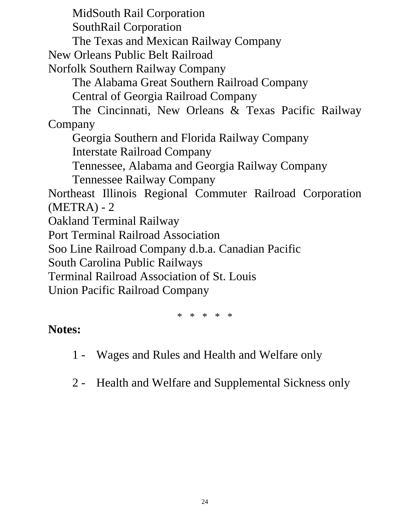MidSouth Rail Corporation

SouthRail Corporation

The Texas and Mexican Railway Company

New Orleans Public Belt Railroad

Norfolk Southern Railway Company

The Alabama Great Southern Railroad Company

Central of Georgia Railroad Company

The Cincinnati, New Orleans & Texas Pacific Railway Company

Georgia Southern and Florida Railway Company

Interstate Railroad Company

Tennessee, Alabama and Georgia Railway Company

Tennessee Railway Company

Northeast Illinois Regional Commuter Railroad Corporation (METRA) - 2

Oakland Terminal Railway

Port Terminal Railroad Association

Soo Line Railroad Company d.b.a. Canadian Pacific

South Carolina Public Railways

Terminal Railroad Association of St. Louis

Union Pacific Railroad Company

\* \* \* \* \*

## **Notes:**

- 1 Wages and Rules and Health and Welfare only
- 2 Health and Welfare and Supplemental Sickness only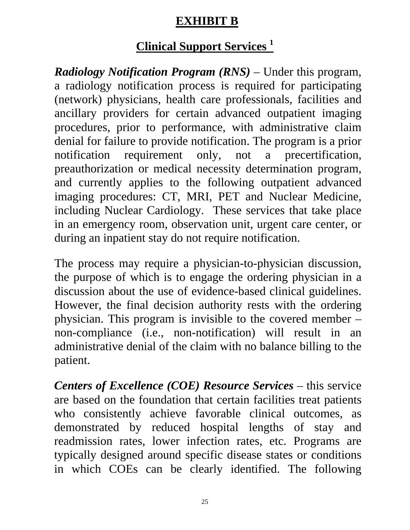## **EXHIBIT B**

# **Clinical Support Services 1**

*Radiology Notification Program (RNS)* – Under this program, a radiology notification process is required for participating (network) physicians, health care professionals, facilities and ancillary providers for certain advanced outpatient imaging procedures, prior to performance, with administrative claim denial for failure to provide notification. The program is a prior notification requirement only, not a precertification, preauthorization or medical necessity determination program, and currently applies to the following outpatient advanced imaging procedures: CT, MRI, PET and Nuclear Medicine, including Nuclear Cardiology. These services that take place in an emergency room, observation unit, urgent care center, or during an inpatient stay do not require notification.

The process may require a physician-to-physician discussion, the purpose of which is to engage the ordering physician in a discussion about the use of evidence-based clinical guidelines. However, the final decision authority rests with the ordering physician. This program is invisible to the covered member – non-compliance (i.e., non-notification) will result in an administrative denial of the claim with no balance billing to the patient.

*Centers of Excellence (COE) Resource Services – this service* are based on the foundation that certain facilities treat patients who consistently achieve favorable clinical outcomes, as demonstrated by reduced hospital lengths of stay and readmission rates, lower infection rates, etc. Programs are typically designed around specific disease states or conditions in which COEs can be clearly identified. The following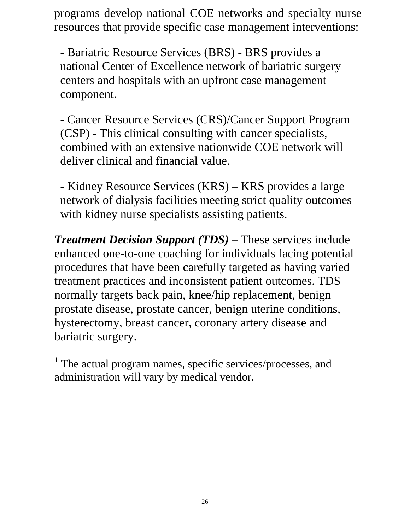programs develop national COE networks and specialty nurse resources that provide specific case management interventions:

- Bariatric Resource Services (BRS) - BRS provides a national Center of Excellence network of bariatric surgery centers and hospitals with an upfront case management component.

- Cancer Resource Services (CRS)/Cancer Support Program (CSP) - This clinical consulting with cancer specialists, combined with an extensive nationwide COE network will deliver clinical and financial value.

- Kidney Resource Services (KRS) – KRS provides a large network of dialysis facilities meeting strict quality outcomes with kidney nurse specialists assisting patients.

*Treatment Decision Support (TDS)* – These services include enhanced one-to-one coaching for individuals facing potential procedures that have been carefully targeted as having varied treatment practices and inconsistent patient outcomes. TDS normally targets back pain, knee/hip replacement, benign prostate disease, prostate cancer, benign uterine conditions, hysterectomy, breast cancer, coronary artery disease and bariatric surgery.

<sup>1</sup> The actual program names, specific services/processes, and administration will vary by medical vendor.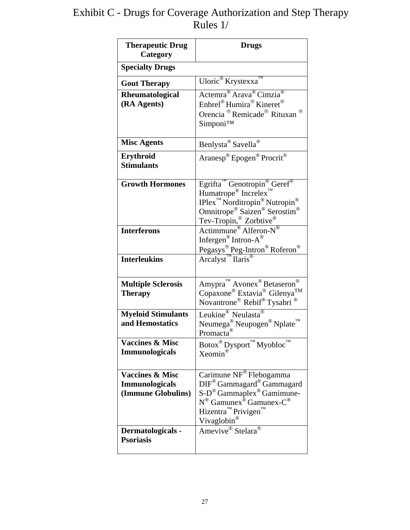#### Exhibit C - Drugs for Coverage Authorization and Step Therapy Rules 1/

| <b>Therapeutic Drug</b><br>Category                                                            | <b>Drugs</b>                                                                                                                                                                                                                                                                                |
|------------------------------------------------------------------------------------------------|---------------------------------------------------------------------------------------------------------------------------------------------------------------------------------------------------------------------------------------------------------------------------------------------|
| <b>Specialty Drugs</b>                                                                         |                                                                                                                                                                                                                                                                                             |
| <b>Gout Therapy</b>                                                                            | Uloric <sup>®</sup> Krystexxa <sup>™</sup>                                                                                                                                                                                                                                                  |
| Rheumatological<br>(RA Agents)                                                                 | Actemra <sup>®</sup> Arava <sup>®</sup> Cimzia <sup>®</sup><br>Enbrel <sup>®</sup> Humira <sup>®</sup> Kineret <sup>®</sup><br>Orencia <sup>®</sup> Remicade <sup>®</sup> Rituxan <sup>®</sup><br>Simponi™                                                                                  |
| <b>Misc Agents</b>                                                                             | Benlysta® Savella®                                                                                                                                                                                                                                                                          |
| Erythroid<br><b>Stimulants</b>                                                                 | Aranesp® Epogen <sup>®</sup> Procrit <sup>®</sup>                                                                                                                                                                                                                                           |
| <b>Growth Hormones</b>                                                                         | Egrifta <sup>TM</sup> Genotropin <sup>®</sup> Geref <sup>®</sup><br>Humatrope <sup>®</sup> Increlex <sup>1</sup><br>$IPlex^{\pi}$ Norditropin <sup>®</sup> Nutropin <sup>®</sup><br>Omnitrope <sup>®</sup> Saizen® Serostim <sup>®</sup><br>Tev-Tropin,® Zorbtive®<br>Actimmune® Alferon-N® |
| <b>Interferons</b>                                                                             | Infergen <sup>®</sup> Intron-A <sup>®</sup><br>Pegasys® Peg-Intron® Roferon®                                                                                                                                                                                                                |
| <b>Interleukins</b>                                                                            | Arcalyst <sup>™</sup> Ilaris®                                                                                                                                                                                                                                                               |
| <b>Multiple Sclerosis</b><br><b>Therapy</b>                                                    | Amypra <sup>™</sup> Avonex <sup>®</sup> Betaseron <sup>®</sup><br>Copaxone® Extavia® Gilenya <sup>TM</sup><br>Novantrone <sup>®</sup> Rebif <sup>®</sup> Tysabri ®                                                                                                                          |
| <b>Myeloid Stimulants</b><br>and Hemostatics                                                   | Leukine <sup>®</sup> Neulasta <sup>®</sup><br>Neumega <sup>®</sup> Neupogen <sup>®</sup> Nplate <sup>™</sup><br>Promacta <sup>®</sup>                                                                                                                                                       |
| <b>Vaccines &amp; Misc</b><br><b>Immunologicals</b>                                            | Botox <sup>®</sup> Dysport <sup>™</sup> Myobloc <sup>™</sup><br>Xeomin®                                                                                                                                                                                                                     |
| <b>Vaccines &amp; Misc</b><br><b>Immunologicals</b><br>(Immune Globulins)<br>Dermatologicals - | Carimune NF® Flebogamma<br>DIF <sup>®</sup> Gammagard® Gammagard<br>$S-D^{\circledR}$ Gammaplex <sup>®</sup> Gamimune-<br>N <sup>®</sup> Gamunex <sup>®</sup> Gamunex-C <sup>®</sup><br>Hizentra <sup>™</sup> Privigen™<br>Vivaglobin®<br>Amevive <sup>®</sup> Stelara <sup>®</sup>         |
| <b>Psoriasis</b>                                                                               |                                                                                                                                                                                                                                                                                             |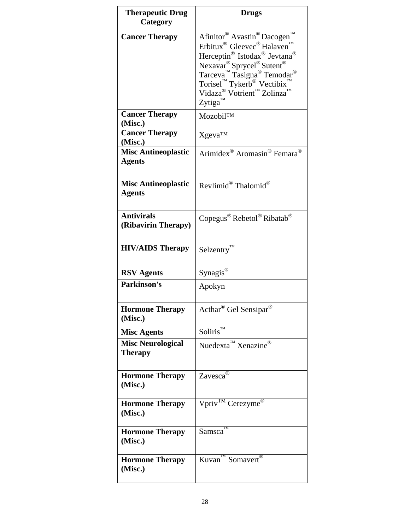| <b>Therapeutic Drug</b><br>Category         | <b>Drugs</b>                                                                                                                                                                                                                                                                                                                                                                                                   |
|---------------------------------------------|----------------------------------------------------------------------------------------------------------------------------------------------------------------------------------------------------------------------------------------------------------------------------------------------------------------------------------------------------------------------------------------------------------------|
| <b>Cancer Therapy</b>                       | TM<br>Afinitor <sup>®</sup> Avastin <sup>®</sup> Dacogen<br>Erbitux <sup>®</sup> Gleevec <sup>®</sup> Halaven <sup>1</sup><br>Herceptin® Istodax® Jevtana®<br>$N$ exavar <sup>®</sup> Sprycel <sup>®</sup> Sutent <sup>®</sup><br>Tarceva <sup>™</sup> Tasigna <sup>®</sup> Temodar <sup>®</sup><br>Torisel™ Tykerb® Vectibix™<br>Vidaza® Votrient <sup>™</sup> Zolinza <sup>™</sup><br>$Zy$ tiga <sup>™</sup> |
| <b>Cancer Therapy</b><br>(Misc.)            | Mozobil™                                                                                                                                                                                                                                                                                                                                                                                                       |
| <b>Cancer Therapy</b><br>(Misc.)            | Xgeva™                                                                                                                                                                                                                                                                                                                                                                                                         |
| <b>Misc Antineoplastic</b><br><b>Agents</b> | Arimidex <sup>®</sup> Aromasin <sup>®</sup> Femara <sup>®</sup>                                                                                                                                                                                                                                                                                                                                                |
| <b>Misc Antineoplastic</b><br><b>Agents</b> | Revlimid® Thalomid®                                                                                                                                                                                                                                                                                                                                                                                            |
| <b>Antivirals</b><br>(Ribavirin Therapy)    | Copegus <sup>®</sup> Rebetol® Ribatab <sup>®</sup>                                                                                                                                                                                                                                                                                                                                                             |
| <b>HIV/AIDS Therapy</b>                     | $S$ elzentry <sup>TM</sup>                                                                                                                                                                                                                                                                                                                                                                                     |
| <b>RSV</b> Agents                           | Synagis®                                                                                                                                                                                                                                                                                                                                                                                                       |
| <b>Parkinson's</b>                          | Apokyn                                                                                                                                                                                                                                                                                                                                                                                                         |
| <b>Hormone Therapy</b><br>(Misc.)           | Acthar® Gel Sensipar®                                                                                                                                                                                                                                                                                                                                                                                          |
| <b>Misc Agents</b>                          | $Soliris^{\mathrm{TM}}$                                                                                                                                                                                                                                                                                                                                                                                        |
| <b>Misc Neurological</b><br><b>Therapy</b>  | Nuedexta <sup>™</sup> Xenazine®                                                                                                                                                                                                                                                                                                                                                                                |
| <b>Hormone Therapy</b><br>(Misc.)           | Zavesca®                                                                                                                                                                                                                                                                                                                                                                                                       |
| <b>Hormone Therapy</b><br>(Misc.)           | Vpriv <sup>TM</sup> Cerezyme®                                                                                                                                                                                                                                                                                                                                                                                  |
| <b>Hormone Therapy</b><br>(Misc.)           | Samsca                                                                                                                                                                                                                                                                                                                                                                                                         |
| <b>Hormone Therapy</b><br>(Misc.)           | $Kuvan^{\pi M}$ Somavert <sup>®</sup>                                                                                                                                                                                                                                                                                                                                                                          |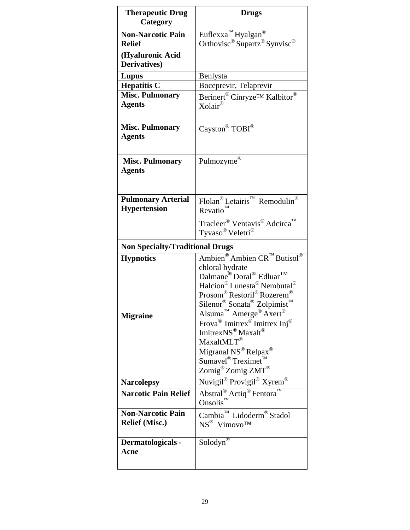| <b>Therapeutic Drug</b><br>Category               | <b>Drugs</b>                                                                                                                                                                                                                                                                                                                                                                                  |
|---------------------------------------------------|-----------------------------------------------------------------------------------------------------------------------------------------------------------------------------------------------------------------------------------------------------------------------------------------------------------------------------------------------------------------------------------------------|
| <b>Non-Narcotic Pain</b><br><b>Relief</b>         | Euflexxa <sup>™</sup> Hyalgan <sup>®</sup><br>Orthovisc <sup>®</sup> Supartz® Synvisc®                                                                                                                                                                                                                                                                                                        |
| (Hyaluronic Acid<br>Derivatives)                  |                                                                                                                                                                                                                                                                                                                                                                                               |
| Lupus                                             | Benlysta                                                                                                                                                                                                                                                                                                                                                                                      |
| <b>Hepatitis C</b>                                | Boceprevir, Telaprevir                                                                                                                                                                                                                                                                                                                                                                        |
| <b>Misc. Pulmonary</b>                            | Berinert <sup>®</sup> Cinryze <sup>™</sup> Kalbitor <sup>®</sup>                                                                                                                                                                                                                                                                                                                              |
| <b>Agents</b>                                     | $X$ olair®                                                                                                                                                                                                                                                                                                                                                                                    |
| <b>Misc. Pulmonary</b><br><b>Agents</b>           | Cayston® $TOBI$ <sup>®</sup>                                                                                                                                                                                                                                                                                                                                                                  |
| <b>Misc. Pulmonary</b><br><b>Agents</b>           | Pulmozyme®                                                                                                                                                                                                                                                                                                                                                                                    |
| <b>Pulmonary Arterial</b><br><b>Hypertension</b>  | $\operatorname{Flolan}^{\circledast} \operatorname{Letairis}^{\pi_M} \, \operatorname{Remodulin}^{\circledast}$<br>Revatio                                                                                                                                                                                                                                                                    |
|                                                   | Tracleer <sup>®</sup> Ventavis <sup>®</sup> Adcirca <sup>™</sup><br>Tyvaso® Veletri®                                                                                                                                                                                                                                                                                                          |
| <b>Non Specialty/Traditional Drugs</b>            |                                                                                                                                                                                                                                                                                                                                                                                               |
| <b>Hypnotics</b>                                  | Ambien <sup>®</sup> Ambien $CR^{^{\mathsf{TM}}}$ Butisol®<br>chloral hydrate<br>Dalmane® Doral® Edluar <sup>TM</sup><br>Halcion® Lunesta® Nembutal®<br>Prosom® Restoril® Rozerem®                                                                                                                                                                                                             |
| <b>Migraine</b>                                   | Silenor <sup>®</sup> Sonata <sup>®</sup> Zolpimist <sup>™</sup><br>Alsuma <sup>™</sup> Amerge <sup>®</sup> Axert <sup>®</sup><br>Frova <sup>®</sup> Imitrex <sup>®</sup> Imitrex Inj <sup>®</sup><br>ImitrexNS <sup>®</sup> Maxalt <sup>®</sup><br>MaxaltMLT®<br>Migranal NS® Relpax <sup>®</sup><br>$Sumavel^{\circledR}$ Treximet <sup>™</sup><br>Zomig <sup>®</sup> Zomig ZMT <sup>®</sup> |
| <b>Narcolepsy</b>                                 | $\mbox{Nuvigil}^{\circledR}$ Provigil<br>$^\circledR$ Xyrem $^\circledR$                                                                                                                                                                                                                                                                                                                      |
| <b>Narcotic Pain Relief</b>                       | Abstral <sup>®</sup> Actiq <sup>®</sup> Fentora <sup>1</sup><br>Onsolis <sup>™</sup>                                                                                                                                                                                                                                                                                                          |
| <b>Non-Narcotic Pain</b><br><b>Relief (Misc.)</b> | Cambia <sup>™</sup> Lidoderm® Stadol<br>$NS^{\circledR}$ Vimovo <sup>TM</sup>                                                                                                                                                                                                                                                                                                                 |
| Dermatologicals -<br>Acne                         | Solodyn <sup>®</sup>                                                                                                                                                                                                                                                                                                                                                                          |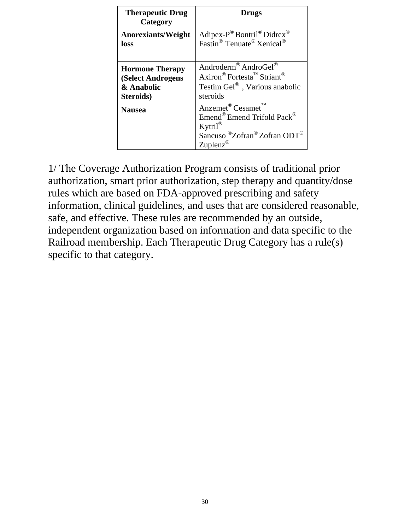| <b>Therapeutic Drug</b><br>Category | <b>Drugs</b>                                                                                                                                                                                                       |
|-------------------------------------|--------------------------------------------------------------------------------------------------------------------------------------------------------------------------------------------------------------------|
| <b>Anorexiants/Weight</b>           | Adipex-P <sup>®</sup> Bontril <sup>®</sup> Didrex <sup>®</sup>                                                                                                                                                     |
| loss                                | Fastin <sup>®</sup> Tenuate <sup>®</sup> Xenical <sup>®</sup>                                                                                                                                                      |
| <b>Hormone Therapy</b>              | Androderm® AndroGel®                                                                                                                                                                                               |
| (Select Androgens                   | Axiron <sup>®</sup> Fortesta <sup>™</sup> Striant <sup>®</sup>                                                                                                                                                     |
| & Anabolic                          | Testim Gel <sup>®</sup> , Various anabolic                                                                                                                                                                         |
| Steroids)                           | steroids                                                                                                                                                                                                           |
| <b>Nausea</b>                       | Anzemet <sup>®</sup> Cesamet <sup>™</sup><br>Emend <sup>®</sup> Emend Trifold Pack <sup>®</sup><br>$Kyril^{\circledR}$<br>Sancuso <sup>®</sup> Zofran <sup>®</sup> Zofran ODT <sup>®</sup><br>Zuplenz <sup>®</sup> |

1/ The Coverage Authorization Program consists of traditional prior authorization, smart prior authorization, step therapy and quantity/dose rules which are based on FDA-approved prescribing and safety information, clinical guidelines, and uses that are considered reasonable, safe, and effective. These rules are recommended by an outside, independent organization based on information and data specific to the Railroad membership. Each Therapeutic Drug Category has a rule(s) specific to that category.